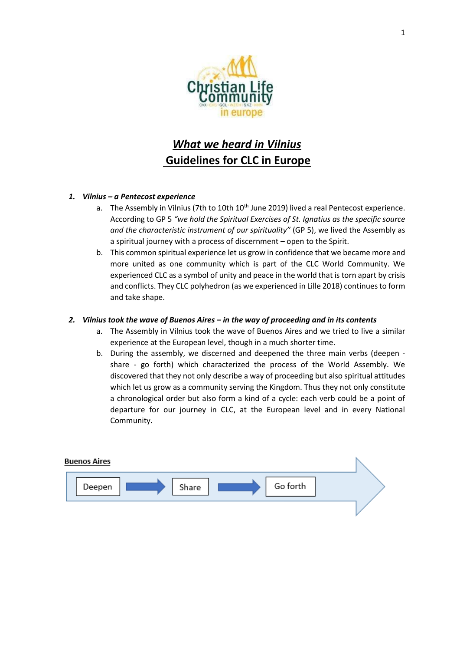

# *What we heard in Vilnius* **Guidelines for CLC in Europe**

## *1. Vilnius – a Pentecost experience*

- a. The Assembly in Vilnius (7th to 10th  $10<sup>th</sup>$  June 2019) lived a real Pentecost experience. According to GP 5 *"we hold the Spiritual Exercises of St. Ignatius as the specific source and the characteristic instrument of our spirituality"* (GP 5), we lived the Assembly as a spiritual journey with a process of discernment – open to the Spirit.
- b. This common spiritual experience let us grow in confidence that we became more and more united as one community which is part of the CLC World Community. We experienced CLC as a symbol of unity and peace in the world that is torn apart by crisis and conflicts. They CLC polyhedron (as we experienced in Lille 2018) continues to form and take shape.

## *2. Vilnius took the wave of Buenos Aires – in the way of proceeding and in its contents*

- a. The Assembly in Vilnius took the wave of Buenos Aires and we tried to live a similar experience at the European level, though in a much shorter time.
- b. During the assembly, we discerned and deepened the three main verbs (deepen share - go forth) which characterized the process of the World Assembly. We discovered that they not only describe a way of proceeding but also spiritual attitudes which let us grow as a community serving the Kingdom. Thus they not only constitute a chronological order but also form a kind of a cycle: each verb could be a point of departure for our journey in CLC, at the European level and in every National Community.

| <b>Buenos Aires</b>         |  |
|-----------------------------|--|
| Go forth<br>Share<br>Deepen |  |
|                             |  |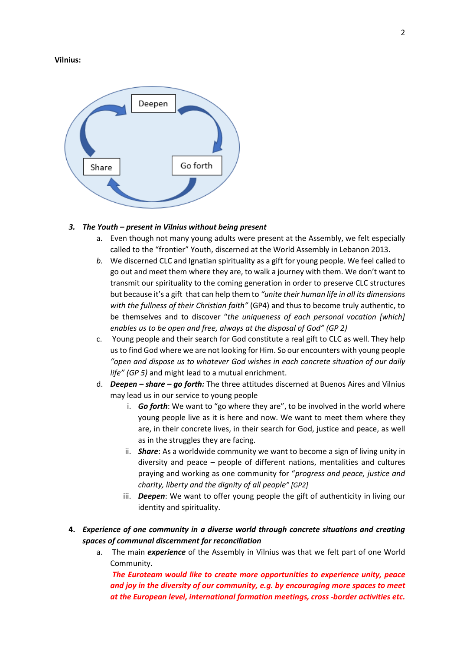#### **Vilnius:**



#### *3. The Youth – present in Vilnius without being present*

- a. Even though not many young adults were present at the Assembly, we felt especially called to the "frontier" Youth, discerned at the World Assembly in Lebanon 2013.
- *b.* We discerned CLC and Ignatian spirituality as a gift for young people. We feel called to go out and meet them where they are, to walk a journey with them. We don't want to transmit our spirituality to the coming generation in order to preserve CLC structures but because it's a gift that can help them to *"unite their human life in all its dimensions with the fullness of their Christian faith"* (GP4) and thus to become truly authentic, to be themselves and to discover "*the uniqueness of each personal vocation [which] enables us to be open and free, always at the disposal of God" (GP 2)*
- c. Young people and their search for God constitute a real gift to CLC as well. They help us to find God where we are not looking for Him. So our encounters with young people *"open and dispose us to whatever God wishes in each concrete situation of our daily life" (GP 5)* and might lead to a mutual enrichment.
- d. *Deepen – share – go forth:* The three attitudes discerned at Buenos Aires and Vilnius may lead us in our service to young people
	- i. *Go forth*: We want to "go where they are", to be involved in the world where young people live as it is here and now. We want to meet them where they are, in their concrete lives, in their search for God, justice and peace, as well as in the struggles they are facing.
	- ii. *Share*: As a worldwide community we want to become a sign of living unity in diversity and peace – people of different nations, mentalities and cultures praying and working as one community for "*progress and peace, justice and charity, liberty and the dignity of all people" [GP2]*
	- iii. *Deepen*: We want to offer young people the gift of authenticity in living our identity and spirituality.
- **4.** *Experience of one community in a diverse world through concrete situations and creating spaces of communal discernment for reconciliation*
	- a. The main *experience* of the Assembly in Vilnius was that we felt part of one World Community.

*The Euroteam would like to create more opportunities to experience unity, peace and joy in the diversity of our community, e.g. by encouraging more spaces to meet at the European level, international formation meetings, cross -border activities etc.*